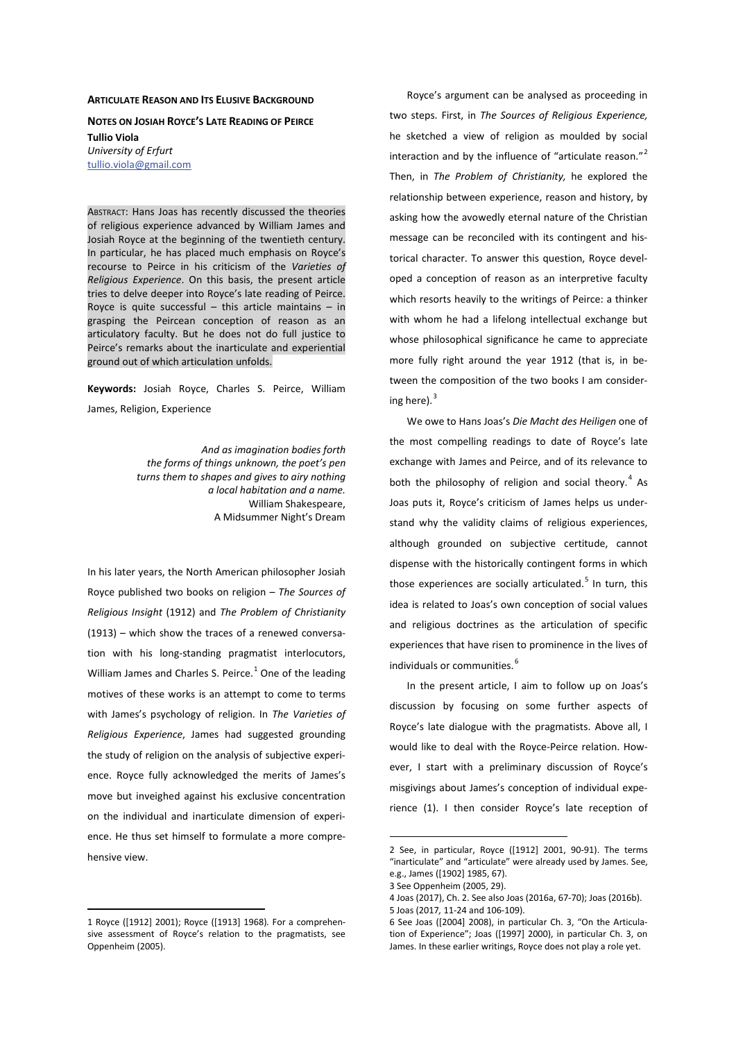## **ARTICULATE REASON AND ITS ELUSIVE BACKGROUND**

**NOTES ON JOSIAH ROYCE'S LATE READING OF PEIRCE Tullio Viola**  *University of Erfurt*  tullio.viola@gmail.com

ABSTRACT: Hans Joas has recently discussed the theories of religious experience advanced by William James and Josiah Royce at the beginning of the twentieth century. In particular, he has placed much emphasis on Royce's recourse to Peirce in his criticism of the *Varieties of Religious Experience*. On this basis, the present article tries to delve deeper into Royce's late reading of Peirce. Royce is quite successful  $-$  this article maintains  $-$  in grasping the Peircean conception of reason as an articulatory faculty. But he does not do full justice to Peirce's remarks about the inarticulate and experiential ground out of which articulation unfolds.

Keywords: Josiah Royce, Charles S. Peirce, William James, Religion, Experience

> *And as imagination bodies forth the forms of things unknown, the poet's pen turns them to shapes and gives to airy nothing a local habitation and a name.*  William Shakespeare, A Midsummer Night's Dream

In his later years, the North American philosopher Josiah Royce published two books on religion – *The Sources of Religious Insight* (1912) and *The Problem of Christianity* (1913) – which show the traces of a renewed conversation with his long-standing pragmatist interlocutors, William James and Charles S. Peirce. $^1$  One of the leading motives of these works is an attempt to come to terms with James's psychology of religion. In *The Varieties of Religious Experience*, James had suggested grounding the study of religion on the analysis of subjective experience. Royce fully acknowledged the merits of James's move but inveighed against his exclusive concentration on the individual and inarticulate dimension of experience. He thus set himself to formulate a more comprehensive view.

1 Royce ([1912] 2001); Royce ([1913] 1968)*.* For a comprehensive assessment of Royce's relation to the pragmatists, see Oppenheim (2005).

Royce's argument can be analysed as proceeding in two steps. First, in *The Sources of Religious Experience,* he sketched a view of religion as moulded by social interaction and by the influence of "articulate reason."<sup>2</sup> Then, in *The Problem of Christianity,* he explored the relationship between experience, reason and history, by asking how the avowedly eternal nature of the Christian message can be reconciled with its contingent and historical character. To answer this question, Royce developed a conception of reason as an interpretive faculty which resorts heavily to the writings of Peirce: a thinker with whom he had a lifelong intellectual exchange but whose philosophical significance he came to appreciate more fully right around the year 1912 (that is, in between the composition of the two books I am considering here). $3$ 

We owe to Hans Joas's *Die Macht des Heiligen* one of the most compelling readings to date of Royce's late exchange with James and Peirce, and of its relevance to both the philosophy of religion and social theory.<sup>4</sup> As Joas puts it, Royce's criticism of James helps us understand why the validity claims of religious experiences, although grounded on subjective certitude, cannot dispense with the historically contingent forms in which those experiences are socially articulated.<sup>5</sup> In turn, this idea is related to Joas's own conception of social values and religious doctrines as the articulation of specific experiences that have risen to prominence in the lives of individuals or communities.<sup>6</sup>

In the present article, I aim to follow up on Joas's discussion by focusing on some further aspects of Royce's late dialogue with the pragmatists. Above all, I would like to deal with the Royce-Peirce relation. However, I start with a preliminary discussion of Royce's misgivings about James's conception of individual experience (1). I then consider Royce's late reception of

<sup>2</sup> See, in particular, Royce ([1912] 2001, 90-91). The terms "inarticulate" and "articulate" were already used by James. See, e.g., James ([1902] 1985, 67).

<sup>3</sup> See Oppenheim (2005, 29).

<sup>4</sup> Joas (2017), Ch. 2. See also Joas (2016a, 67-70); Joas (2016b). 5 Joas (2017*,* 11-24 and 106-109).

<sup>6</sup> See Joas ([2004] 2008), in particular Ch. 3, "On the Articulation of Experience"; Joas ([1997] 2000), in particular Ch. 3, on James. In these earlier writings, Royce does not play a role yet.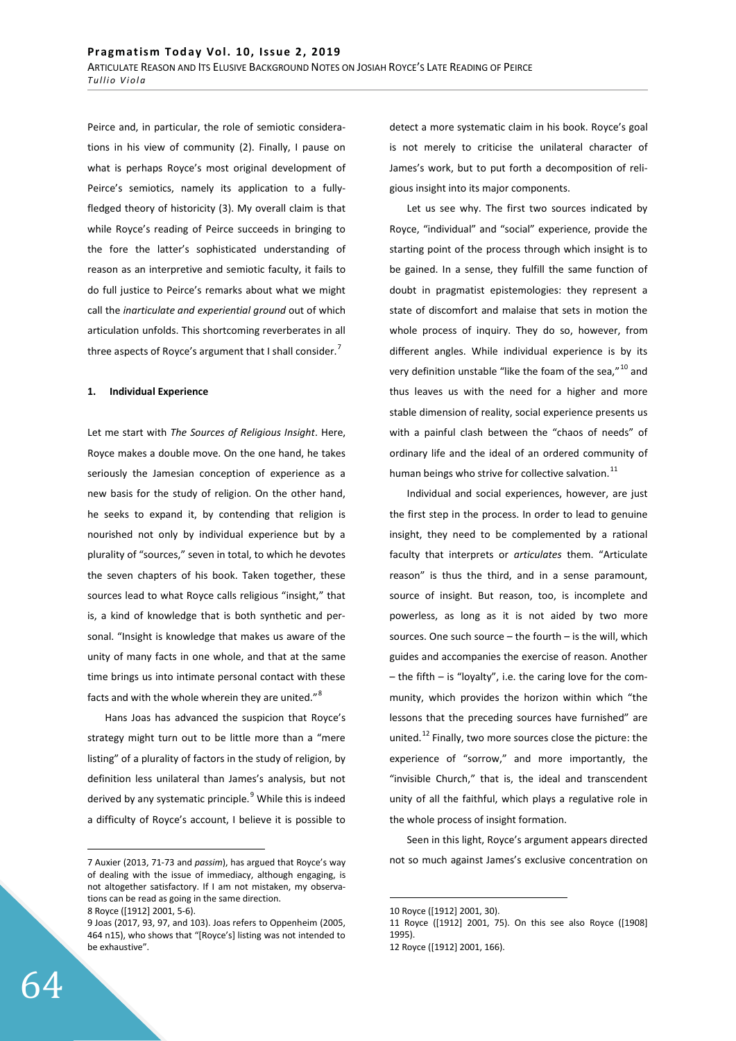Peirce and, in particular, the role of semiotic considerations in his view of community (2). Finally, I pause on what is perhaps Royce's most original development of Peirce's semiotics, namely its application to a fullyfledged theory of historicity (3). My overall claim is that while Royce's reading of Peirce succeeds in bringing to the fore the latter's sophisticated understanding of reason as an interpretive and semiotic faculty, it fails to do full justice to Peirce's remarks about what we might call the *inarticulate and experiential ground* out of which articulation unfolds. This shortcoming reverberates in all three aspects of Royce's argument that I shall consider.<sup>7</sup>

#### 1. **Individual Experience**

Let me start with *The Sources of Religious Insight*. Here, Royce makes a double move. On the one hand, he takes seriously the Jamesian conception of experience as a new basis for the study of religion. On the other hand, he seeks to expand it, by contending that religion is nourished not only by individual experience but by a plurality of "sources," seven in total, to which he devotes the seven chapters of his book. Taken together, these sources lead to what Royce calls religious "insight," that is, a kind of knowledge that is both synthetic and personal. "Insight is knowledge that makes us aware of the unity of many facts in one whole, and that at the same time brings us into intimate personal contact with these facts and with the whole wherein they are united."<sup>8</sup>

Hans Joas has advanced the suspicion that Royce's strategy might turn out to be little more than a "mere listing" of a plurality of factors in the study of religion, by definition less unilateral than James's analysis, but not derived by any systematic principle.<sup>9</sup> While this is indeed a difficulty of Royce's account, I believe it is possible to

detect a more systematic claim in his book. Royce's goal is not merely to criticise the unilateral character of James's work, but to put forth a decomposition of religious insight into its major components.

Let us see why. The first two sources indicated by Royce, "individual" and "social" experience, provide the starting point of the process through which insight is to be gained. In a sense, they fulfill the same function of doubt in pragmatist epistemologies: they represent a state of discomfort and malaise that sets in motion the whole process of inquiry. They do so, however, from different angles. While individual experience is by its very definition unstable "like the foam of the sea,"  $^{10}$  and thus leaves us with the need for a higher and more stable dimension of reality, social experience presents us with a painful clash between the "chaos of needs" of ordinary life and the ideal of an ordered community of human beings who strive for collective salvation. $^{11}$ 

Individual and social experiences, however, are just the first step in the process. In order to lead to genuine insight, they need to be complemented by a rational faculty that interprets or *articulates* them. "Articulate reason" is thus the third, and in a sense paramount, source of insight. But reason, too, is incomplete and powerless, as long as it is not aided by two more sources. One such source – the fourth – is the will, which guides and accompanies the exercise of reason. Another – the fifth – is "loyalty", i.e. the caring love for the community, which provides the horizon within which "the lessons that the preceding sources have furnished" are united.<sup>12</sup> Finally, two more sources close the picture: the experience of "sorrow," and more importantly, the "invisible Church," that is, the ideal and transcendent unity of all the faithful, which plays a regulative role in the whole process of insight formation.

Seen in this light, Royce's argument appears directed not so much against James's exclusive concentration on

<sup>7</sup> Auxier (2013, 71-73 and *passim*), has argued that Royce's way of dealing with the issue of immediacy, although engaging, is not altogether satisfactory. If I am not mistaken, my observations can be read as going in the same direction.

<sup>8</sup> Royce ([1912] 2001, 5-6).

<sup>9</sup> Joas (2017, 93, 97, and 103). Joas refers to Oppenheim (2005, 464 n15), who shows that "[Royce's] listing was not intended to be exhaustive".

<sup>10</sup> Royce ([1912] 2001, 30).

<sup>11</sup> Royce ([1912] 2001, 75). On this see also Royce ([1908] 1995).

<sup>12</sup> Royce ([1912] 2001, 166).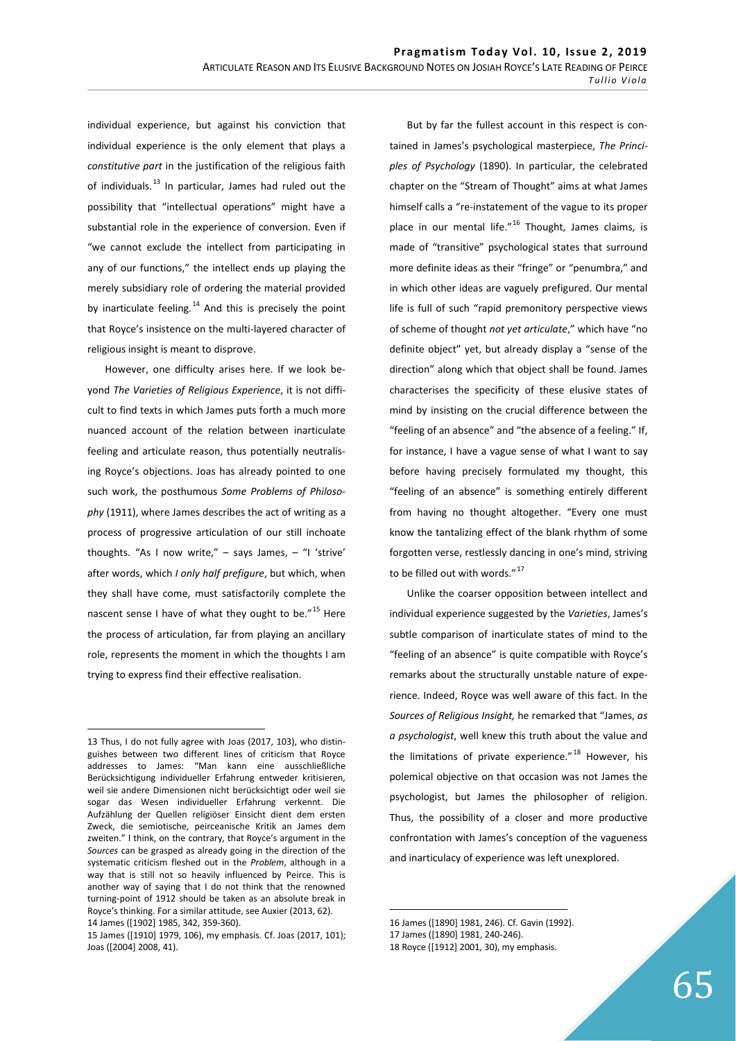individual experience, but against his conviction that individual experience is the only element that plays a *constitutive part* in the justification of the religious faith of individuals. $^{13}$  In particular, James had ruled out the possibility that "intellectual operations" might have a substantial role in the experience of conversion. Even if "we cannot exclude the intellect from participating in any of our functions," the intellect ends up playing the merely subsidiary role of ordering the material provided by inarticulate feeling.<sup>14</sup> And this is precisely the point that Royce's insistence on the multi-layered character of religious insight is meant to disprove.

However, one difficulty arises here. If we look beyond *The Varieties of Religious Experience*, it is not difficult to find texts in which James puts forth a much more nuanced account of the relation between inarticulate feeling and articulate reason, thus potentially neutralising Royce's objections. Joas has already pointed to one such work, the posthumous *Some Problems of Philosophy* (1911), where James describes the act of writing as a process of progressive articulation of our still inchoate thoughts. "As I now write,"  $-$  says James,  $-$  "I 'strive' after words, which *I only half prefigure*, but which, when they shall have come, must satisfactorily complete the nascent sense I have of what they ought to be. $"^{15}$  Here the process of articulation, far from playing an ancillary role, represents the moment in which the thoughts I am trying to express find their effective realisation.

But by far the fullest account in this respect is contained in James's psychological masterpiece, *The Principles of Psychology* (1890). In particular, the celebrated chapter on the "Stream of Thought" aims at what James himself calls a "re-instatement of the vague to its proper place in our mental life."<sup>16</sup> Thought, James claims, is made of "transitive" psychological states that surround more definite ideas as their "fringe" or "penumbra," and in which other ideas are vaguely prefigured. Our mental life is full of such "rapid premonitory perspective views of scheme of thought *not yet articulate*," which have "no definite object" yet, but already display a "sense of the direction" along which that object shall be found. James characterises the specificity of these elusive states of mind by insisting on the crucial difference between the "feeling of an absence" and "the absence of a feeling." If, for instance, I have a vague sense of what I want to say before having precisely formulated my thought, this "feeling of an absence" is something entirely different from having no thought altogether. "Every one must know the tantalizing effect of the blank rhythm of some forgotten verse, restlessly dancing in one's mind, striving to be filled out with words."<sup>17</sup>

Unlike the coarser opposition between intellect and individual experience suggested by the *Varieties*, James's subtle comparison of inarticulate states of mind to the "feeling of an absence" is quite compatible with Royce's remarks about the structurally unstable nature of experience. Indeed, Royce was well aware of this fact. In the *Sources of Religious Insight,* he remarked that "James, *as a psychologist*, well knew this truth about the value and the limitations of private experience."<sup>18</sup> However, his polemical objective on that occasion was not James the psychologist, but James the philosopher of religion. Thus, the possibility of a closer and more productive confrontation with James's conception of the vagueness and inarticulacy of experience was left unexplored.

<sup>13</sup> Thus, I do not fully agree with Joas (2017, 103), who distinguishes between two different lines of criticism that Royce addresses to James: "Man kann eine ausschließliche Berücksichtigung individueller Erfahrung entweder kritisieren, weil sie andere Dimensionen nicht berücksichtigt oder weil sie sogar das Wesen individueller Erfahrung verkennt. Die Aufzählung der Quellen religiöser Einsicht dient dem ersten Zweck, die semiotische, peirceanische Kritik an James dem zweiten." I think, on the contrary, that Royce's argument in the *Sources* can be grasped as already going in the direction of the systematic criticism fleshed out in the *Problem*, although in a way that is still not so heavily influenced by Peirce. This is another way of saying that I do not think that the renowned turning-point of 1912 should be taken as an absolute break in Royce's thinking. For a similar attitude, see Auxier (2013, 62). 14 James ([1902] 1985, 342, 359-360).

<sup>15</sup> James ([1910] 1979, 106), my emphasis. Cf. Joas (2017, 101); Joas ([2004] 2008, 41).

<sup>16</sup> James ([1890] 1981, 246). Cf. Gavin (1992).

<sup>17</sup> James ([1890] 1981, 240-246).

<sup>18</sup> Royce ([1912] 2001, 30), my emphasis.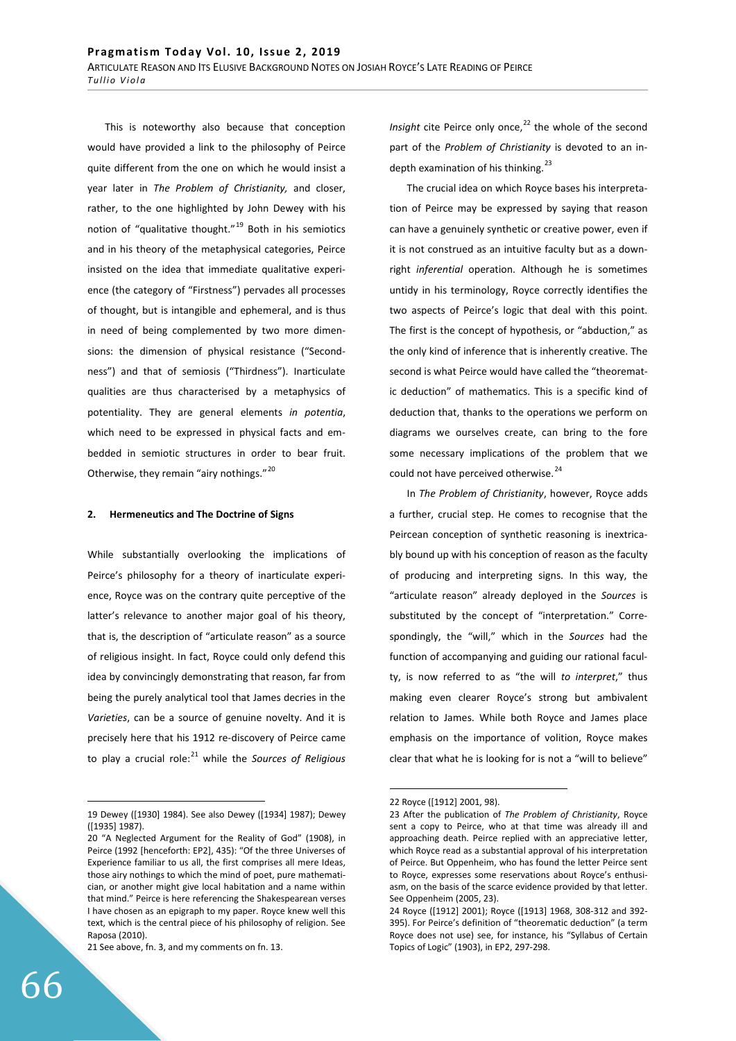This is noteworthy also because that conception would have provided a link to the philosophy of Peirce quite different from the one on which he would insist a year later in *The Problem of Christianity,* and closer, rather, to the one highlighted by John Dewey with his notion of "qualitative thought."<sup>19</sup> Both in his semiotics and in his theory of the metaphysical categories, Peirce insisted on the idea that immediate qualitative experience (the category of "Firstness") pervades all processes of thought, but is intangible and ephemeral, and is thus in need of being complemented by two more dimensions: the dimension of physical resistance ("Secondness") and that of semiosis ("Thirdness"). Inarticulate qualities are thus characterised by a metaphysics of potentiality. They are general elements *in potentia*, which need to be expressed in physical facts and embedded in semiotic structures in order to bear fruit. Otherwise, they remain "airy nothings."<sup>20</sup>

#### 2. Hermeneutics and The Doctrine of Signs

While substantially overlooking the implications of Peirce's philosophy for a theory of inarticulate experience, Royce was on the contrary quite perceptive of the latter's relevance to another major goal of his theory, that is, the description of "articulate reason" as a source of religious insight. In fact, Royce could only defend this idea by convincingly demonstrating that reason, far from being the purely analytical tool that James decries in the *Varieties*, can be a source of genuine novelty. And it is precisely here that his 1912 re-discovery of Peirce came to play a crucial role:21 while the *Sources of Religious* 

21 See above, fn. 3, and my comments on fn. 13.

*Insight* cite Peirce only once,<sup>22</sup> the whole of the second part of the *Problem of Christianity* is devoted to an indepth examination of his thinking. $^{23}$ 

The crucial idea on which Royce bases his interpretation of Peirce may be expressed by saying that reason can have a genuinely synthetic or creative power, even if it is not construed as an intuitive faculty but as a downright *inferential* operation. Although he is sometimes untidy in his terminology, Royce correctly identifies the two aspects of Peirce's logic that deal with this point. The first is the concept of hypothesis, or "abduction," as the only kind of inference that is inherently creative. The second is what Peirce would have called the "theorematic deduction" of mathematics. This is a specific kind of deduction that, thanks to the operations we perform on diagrams we ourselves create, can bring to the fore some necessary implications of the problem that we could not have perceived otherwise.<sup>24</sup>

In *The Problem of Christianity*, however, Royce adds a further, crucial step. He comes to recognise that the Peircean conception of synthetic reasoning is inextricably bound up with his conception of reason as the faculty of producing and interpreting signs. In this way, the "articulate reason" already deployed in the *Sources* is substituted by the concept of "interpretation." Correspondingly, the "will," which in the *Sources* had the function of accompanying and guiding our rational faculty, is now referred to as "the will *to interpret*," thus making even clearer Royce's strong but ambivalent relation to James. While both Royce and James place emphasis on the importance of volition, Royce makes clear that what he is looking for is not a "will to believe"

<sup>19</sup> Dewey ([1930] 1984). See also Dewey ([1934] 1987); Dewey ([1935] 1987).

<sup>20 &</sup>quot;A Neglected Argument for the Reality of God" (1908), in Peirce (1992 [henceforth: EP2], 435): "Of the three Universes of Experience familiar to us all, the first comprises all mere Ideas, those airy nothings to which the mind of poet, pure mathematician, or another might give local habitation and a name within that mind." Peirce is here referencing the Shakespearean verses I have chosen as an epigraph to my paper. Royce knew well this text, which is the central piece of his philosophy of religion. See Raposa (2010).

<sup>22</sup> Royce ([1912] 2001, 98).

<sup>23</sup> After the publication of *The Problem of Christianity*, Royce sent a copy to Peirce, who at that time was already ill and approaching death. Peirce replied with an appreciative letter, which Royce read as a substantial approval of his interpretation of Peirce. But Oppenheim, who has found the letter Peirce sent to Royce, expresses some reservations about Royce's enthusiasm, on the basis of the scarce evidence provided by that letter. See Oppenheim (2005, 23).

<sup>24</sup> Royce ([1912] 2001); Royce ([1913] 1968, 308-312 and 392- 395). For Peirce's definition of "theorematic deduction" (a term Royce does not use) see, for instance, his "Syllabus of Certain Topics of Logic" (1903), in EP2, 297-298.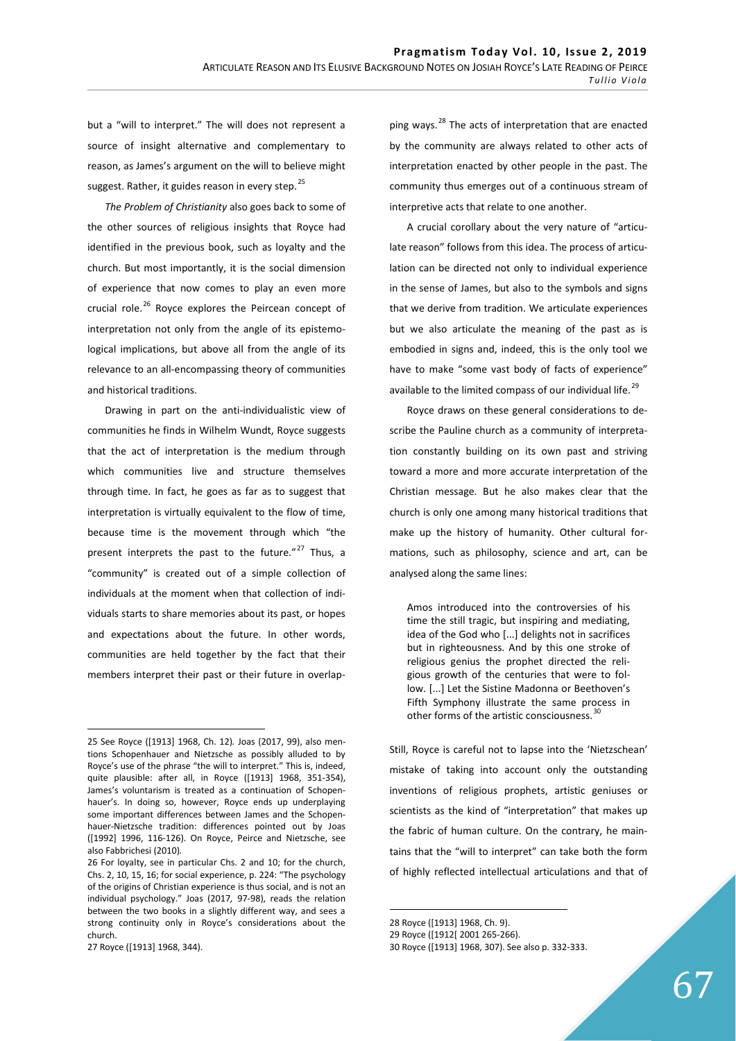but a "will to interpret." The will does not represent a source of insight alternative and complementary to reason, as James's argument on the will to believe might suggest. Rather, it guides reason in every step. $^{25}$ 

*The Problem of Christianity* also goes back to some of the other sources of religious insights that Royce had identified in the previous book, such as loyalty and the church. But most importantly, it is the social dimension of experience that now comes to play an even more crucial role.<sup>26</sup> Royce explores the Peircean concept of interpretation not only from the angle of its epistemological implications, but above all from the angle of its relevance to an all-encompassing theory of communities and historical traditions.

Drawing in part on the anti-individualistic view of communities he finds in Wilhelm Wundt, Royce suggests that the act of interpretation is the medium through which communities live and structure themselves through time. In fact, he goes as far as to suggest that interpretation is virtually equivalent to the flow of time, because time is the movement through which "the present interprets the past to the future." $27$  Thus, a "community" is created out of a simple collection of individuals at the moment when that collection of individuals starts to share memories about its past, or hopes and expectations about the future. In other words, communities are held together by the fact that their members interpret their past or their future in overlapping ways.<sup>28</sup> The acts of interpretation that are enacted by the community are always related to other acts of interpretation enacted by other people in the past. The community thus emerges out of a continuous stream of interpretive acts that relate to one another.

A crucial corollary about the very nature of "articulate reason" follows from this idea. The process of articulation can be directed not only to individual experience in the sense of James, but also to the symbols and signs that we derive from tradition. We articulate experiences but we also articulate the meaning of the past as is embodied in signs and, indeed, this is the only tool we have to make "some vast body of facts of experience" available to the limited compass of our individual life.<sup>29</sup>

Royce draws on these general considerations to describe the Pauline church as a community of interpretation constantly building on its own past and striving toward a more and more accurate interpretation of the Christian message. But he also makes clear that the church is only one among many historical traditions that make up the history of humanity. Other cultural formations, such as philosophy, science and art, can be analysed along the same lines:

Amos introduced into the controversies of his time the still tragic, but inspiring and mediating, idea of the God who [...] delights not in sacrifices but in righteousness. And by this one stroke of religious genius the prophet directed the religious growth of the centuries that were to follow. [...] Let the Sistine Madonna or Beethoven's Fifth Symphony illustrate the same process in other forms of the artistic consciousness.<sup>3</sup>

Still, Royce is careful not to lapse into the 'Nietzschean' mistake of taking into account only the outstanding inventions of religious prophets, artistic geniuses or scientists as the kind of "interpretation" that makes up the fabric of human culture. On the contrary, he maintains that the "will to interpret" can take both the form of highly reflected intellectual articulations and that of

<sup>25</sup> See Royce ([1913] 1968, Ch. 12)*.* Joas (2017, 99), also mentions Schopenhauer and Nietzsche as possibly alluded to by Royce's use of the phrase "the will to interpret." This is, indeed, quite plausible: after all, in Royce ([1913] 1968, 351-354), James's voluntarism is treated as a continuation of Schopenhauer's. In doing so, however, Royce ends up underplaying some important differences between James and the Schopenhauer-Nietzsche tradition: differences pointed out by Joas ([1992] 1996, 116-126). On Royce, Peirce and Nietzsche, see also Fabbrichesi (2010)*.*

<sup>26</sup> For loyalty, see in particular Chs. 2 and 10; for the church, Chs. 2, 10, 15, 16; for social experience, p. 224: "The psychology of the origins of Christian experience is thus social, and is not an individual psychology." Joas (2017*,* 97-98), reads the relation between the two books in a slightly different way, and sees a strong continuity only in Royce's considerations about the church.

<sup>27</sup> Royce ([1913] 1968, 344).

<sup>28</sup> Royce ([1913] 1968, Ch. 9).

<sup>29</sup> Royce ([1912[ 2001 265-266).

<sup>30</sup> Royce ([1913] 1968, 307). See also p. 332-333.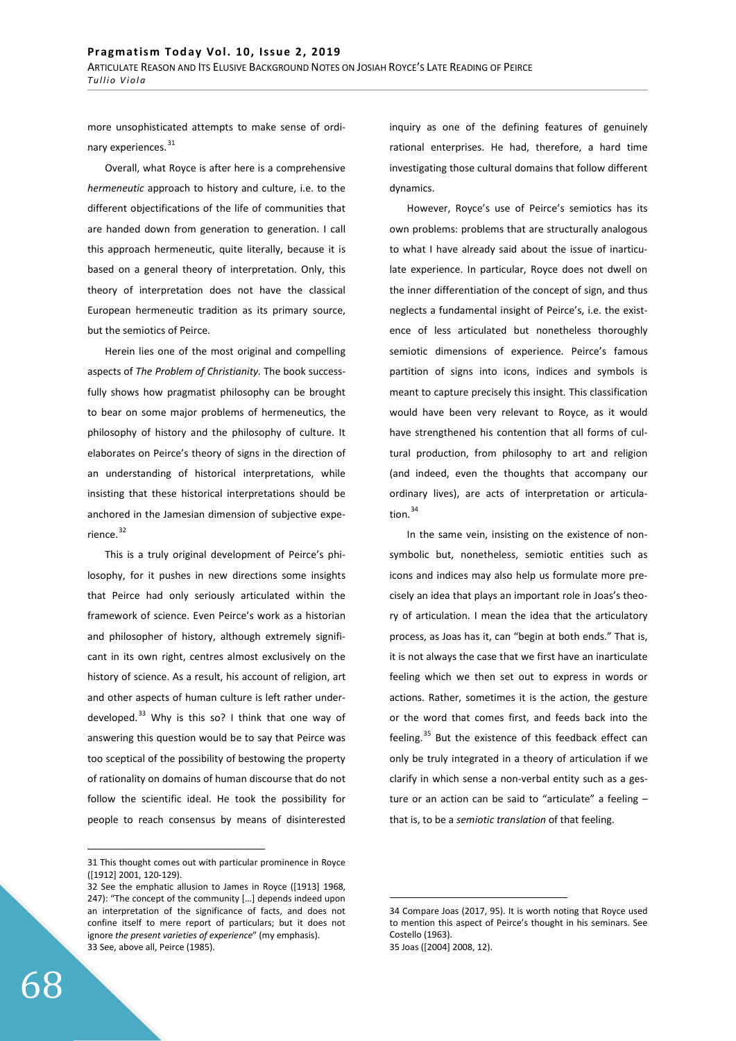more unsophisticated attempts to make sense of ordinary experiences.<sup>31</sup>

Overall, what Royce is after here is a comprehensive *hermeneutic* approach to history and culture, i.e. to the different objectifications of the life of communities that are handed down from generation to generation. I call this approach hermeneutic, quite literally, because it is based on a general theory of interpretation. Only, this theory of interpretation does not have the classical European hermeneutic tradition as its primary source, but the semiotics of Peirce.

Herein lies one of the most original and compelling aspects of *The Problem of Christianity.* The book successfully shows how pragmatist philosophy can be brought to bear on some major problems of hermeneutics, the philosophy of history and the philosophy of culture. It elaborates on Peirce's theory of signs in the direction of an understanding of historical interpretations, while insisting that these historical interpretations should be anchored in the Jamesian dimension of subjective experience.<sup>32</sup>

This is a truly original development of Peirce's philosophy, for it pushes in new directions some insights that Peirce had only seriously articulated within the framework of science. Even Peirce's work as a historian and philosopher of history, although extremely significant in its own right, centres almost exclusively on the history of science. As a result, his account of religion, art and other aspects of human culture is left rather underdeveloped. $33$  Why is this so? I think that one way of answering this question would be to say that Peirce was too sceptical of the possibility of bestowing the property of rationality on domains of human discourse that do not follow the scientific ideal. He took the possibility for people to reach consensus by means of disinterested

inquiry as one of the defining features of genuinely rational enterprises. He had, therefore, a hard time investigating those cultural domains that follow different dynamics.

However, Royce's use of Peirce's semiotics has its own problems: problems that are structurally analogous to what I have already said about the issue of inarticulate experience. In particular, Royce does not dwell on the inner differentiation of the concept of sign, and thus neglects a fundamental insight of Peirce's, i.e. the existence of less articulated but nonetheless thoroughly semiotic dimensions of experience. Peirce's famous partition of signs into icons, indices and symbols is meant to capture precisely this insight*.* This classification would have been very relevant to Royce, as it would have strengthened his contention that all forms of cultural production, from philosophy to art and religion (and indeed, even the thoughts that accompany our ordinary lives), are acts of interpretation or articulation. $34$ 

In the same vein, insisting on the existence of nonsymbolic but, nonetheless, semiotic entities such as icons and indices may also help us formulate more precisely an idea that plays an important role in Joas's theory of articulation. I mean the idea that the articulatory process, as Joas has it, can "begin at both ends." That is, it is not always the case that we first have an inarticulate feeling which we then set out to express in words or actions. Rather, sometimes it is the action, the gesture or the word that comes first, and feeds back into the feeling.<sup>35</sup> But the existence of this feedback effect can only be truly integrated in a theory of articulation if we clarify in which sense a non-verbal entity such as a gesture or an action can be said to "articulate" a feeling – that is, to be a *semiotic translation* of that feeling.

<sup>31</sup> This thought comes out with particular prominence in Royce ([1912] 2001, 120-129).

<sup>32</sup> See the emphatic allusion to James in Royce ([1913] 1968, 247): "The concept of the community […] depends indeed upon an interpretation of the significance of facts, and does not confine itself to mere report of particulars; but it does not ignore *the present varieties of experience*" (my emphasis). 33 See, above all, Peirce (1985).

<sup>34</sup> Compare Joas (2017, 95). It is worth noting that Royce used to mention this aspect of Peirce's thought in his seminars. See Costello (1963). 35 Joas ([2004] 2008, 12).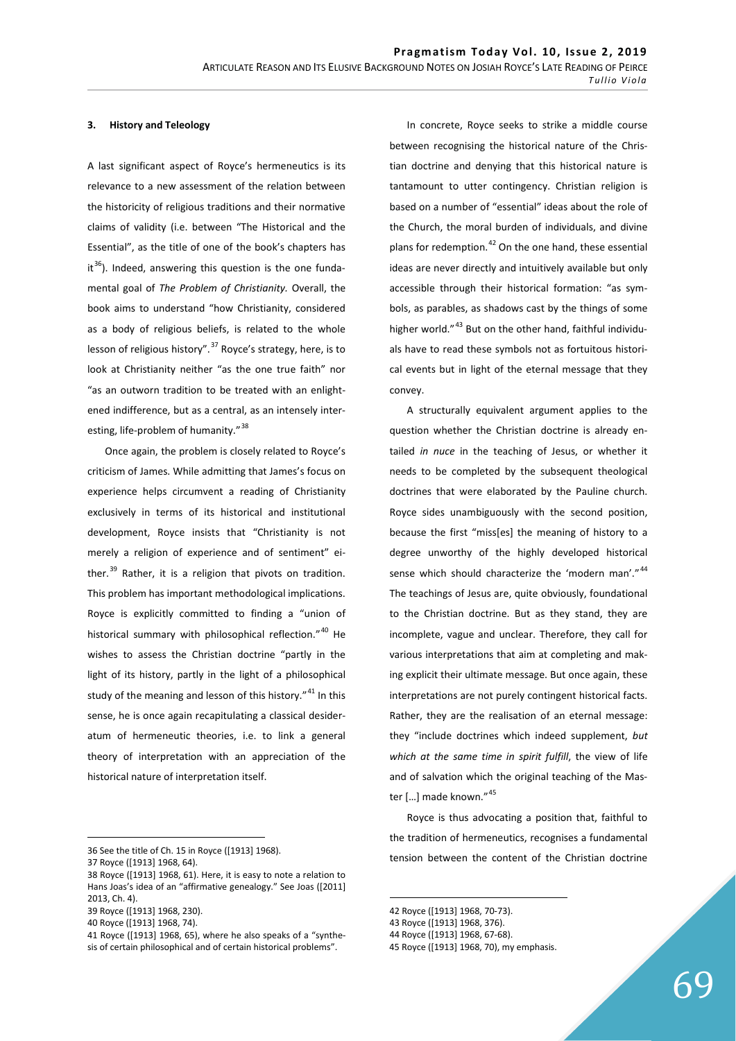## **3.** History and Teleology

A last significant aspect of Royce's hermeneutics is its relevance to a new assessment of the relation between the historicity of religious traditions and their normative claims of validity (i.e. between "The Historical and the Essential", as the title of one of the book's chapters has it<sup>36</sup>). Indeed, answering this question is the one fundamental goal of *The Problem of Christianity.* Overall, the book aims to understand "how Christianity, considered as a body of religious beliefs, is related to the whole lesson of religious history".<sup>37</sup> Royce's strategy, here, is to look at Christianity neither "as the one true faith" nor "as an outworn tradition to be treated with an enlightened indifference, but as a central, as an intensely interesting, life-problem of humanity."<sup>38</sup>

Once again, the problem is closely related to Royce's criticism of James. While admitting that James's focus on experience helps circumvent a reading of Christianity exclusively in terms of its historical and institutional development, Royce insists that "Christianity is not merely a religion of experience and of sentiment" either. $39$  Rather, it is a religion that pivots on tradition. This problem has important methodological implications. Royce is explicitly committed to finding a "union of historical summary with philosophical reflection."<sup>40</sup> He wishes to assess the Christian doctrine "partly in the light of its history, partly in the light of a philosophical study of the meaning and lesson of this history."<sup>41</sup> In this sense, he is once again recapitulating a classical desideratum of hermeneutic theories, i.e. to link a general theory of interpretation with an appreciation of the historical nature of interpretation itself.

36 See the title of Ch. 15 in Royce ([1913] 1968).

39 Royce ([1913] 1968, 230).

In concrete, Royce seeks to strike a middle course between recognising the historical nature of the Christian doctrine and denying that this historical nature is tantamount to utter contingency. Christian religion is based on a number of "essential" ideas about the role of the Church, the moral burden of individuals, and divine plans for redemption.<sup>42</sup> On the one hand, these essential ideas are never directly and intuitively available but only accessible through their historical formation: "as symbols, as parables, as shadows cast by the things of some higher world."<sup>43</sup> But on the other hand, faithful individuals have to read these symbols not as fortuitous historical events but in light of the eternal message that they convey.

A structurally equivalent argument applies to the question whether the Christian doctrine is already entailed *in nuce* in the teaching of Jesus, or whether it needs to be completed by the subsequent theological doctrines that were elaborated by the Pauline church. Royce sides unambiguously with the second position, because the first "miss[es] the meaning of history to a degree unworthy of the highly developed historical sense which should characterize the 'modern man'."<sup>44</sup> The teachings of Jesus are, quite obviously, foundational to the Christian doctrine. But as they stand, they are incomplete, vague and unclear. Therefore, they call for various interpretations that aim at completing and making explicit their ultimate message. But once again, these interpretations are not purely contingent historical facts. Rather, they are the realisation of an eternal message: they "include doctrines which indeed supplement, *but which at the same time in spirit fulfill*, the view of life and of salvation which the original teaching of the Master [...] made known."<sup>45</sup>

Royce is thus advocating a position that, faithful to the tradition of hermeneutics, recognises a fundamental tension between the content of the Christian doctrine

<sup>37</sup> Royce ([1913] 1968, 64).

<sup>38</sup> Royce ([1913] 1968, 61). Here, it is easy to note a relation to Hans Joas's idea of an "affirmative genealogy." See Joas ([2011] 2013, Ch. 4).

<sup>40</sup> Royce ([1913] 1968, 74).

<sup>41</sup> Royce ([1913] 1968, 65), where he also speaks of a "synthesis of certain philosophical and of certain historical problems".

<sup>42</sup> Royce ([1913] 1968, 70-73).

<sup>43</sup> Royce ([1913] 1968, 376).

<sup>44</sup> Royce ([1913] 1968, 67-68).

<sup>45</sup> Royce ([1913] 1968, 70), my emphasis.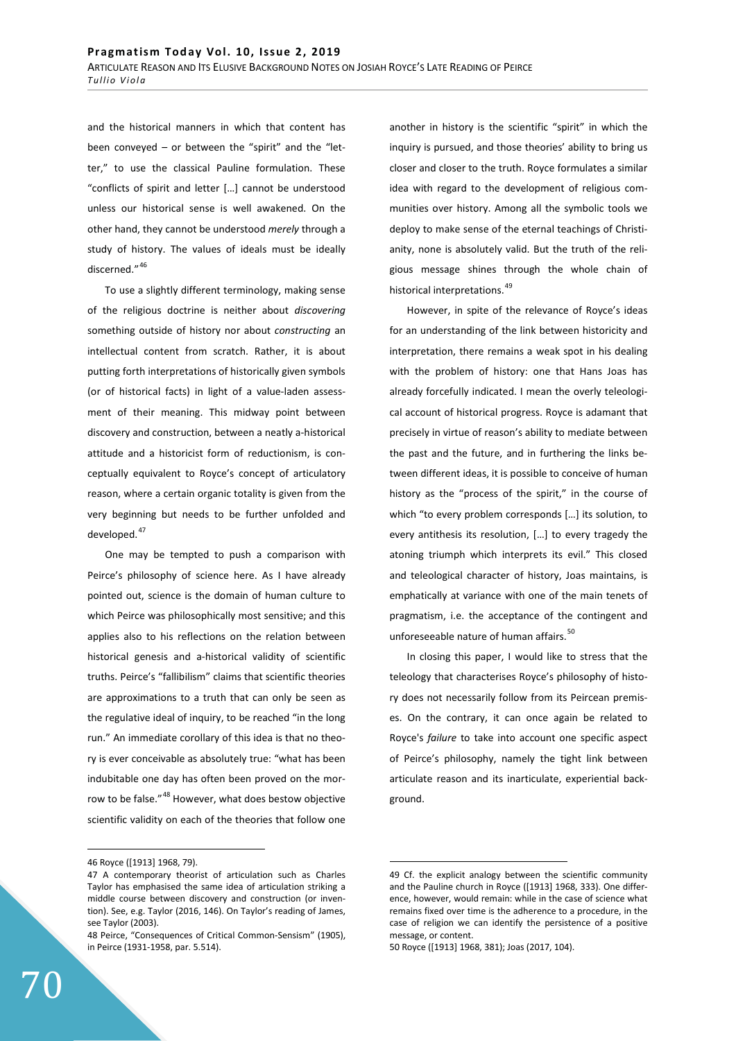and the historical manners in which that content has been conveyed – or between the "spirit" and the "letter," to use the classical Pauline formulation. These "conflicts of spirit and letter […] cannot be understood unless our historical sense is well awakened. On the other hand, they cannot be understood *merely* through a study of history. The values of ideals must be ideally discerned."<sup>46</sup>

To use a slightly different terminology, making sense of the religious doctrine is neither about *discovering*  something outside of history nor about *constructing* an intellectual content from scratch. Rather, it is about putting forth interpretations of historically given symbols (or of historical facts) in light of a value-laden assessment of their meaning. This midway point between discovery and construction, between a neatly a-historical attitude and a historicist form of reductionism, is conceptually equivalent to Royce's concept of articulatory reason, where a certain organic totality is given from the very beginning but needs to be further unfolded and developed.<sup>47</sup>

One may be tempted to push a comparison with Peirce's philosophy of science here. As I have already pointed out, science is the domain of human culture to which Peirce was philosophically most sensitive; and this applies also to his reflections on the relation between historical genesis and a-historical validity of scientific truths. Peirce's "fallibilism" claims that scientific theories are approximations to a truth that can only be seen as the regulative ideal of inquiry, to be reached "in the long run." An immediate corollary of this idea is that no theory is ever conceivable as absolutely true: "what has been indubitable one day has often been proved on the morrow to be false."<sup>48</sup> However, what does bestow objective scientific validity on each of the theories that follow one another in history is the scientific "spirit" in which the inquiry is pursued, and those theories' ability to bring us closer and closer to the truth. Royce formulates a similar idea with regard to the development of religious communities over history. Among all the symbolic tools we deploy to make sense of the eternal teachings of Christianity, none is absolutely valid. But the truth of the religious message shines through the whole chain of historical interpretations.<sup>49</sup>

However, in spite of the relevance of Royce's ideas for an understanding of the link between historicity and interpretation, there remains a weak spot in his dealing with the problem of history: one that Hans Joas has already forcefully indicated. I mean the overly teleological account of historical progress. Royce is adamant that precisely in virtue of reason's ability to mediate between the past and the future, and in furthering the links between different ideas, it is possible to conceive of human history as the "process of the spirit," in the course of which "to every problem corresponds […] its solution, to every antithesis its resolution, […] to every tragedy the atoning triumph which interprets its evil." This closed and teleological character of history, Joas maintains, is emphatically at variance with one of the main tenets of pragmatism, i.e. the acceptance of the contingent and unforeseeable nature of human affairs.<sup>50</sup>

In closing this paper, I would like to stress that the teleology that characterises Royce's philosophy of history does not necessarily follow from its Peircean premises. On the contrary, it can once again be related to Royce's *failure* to take into account one specific aspect of Peirce's philosophy, namely the tight link between articulate reason and its inarticulate, experiential background.

<sup>46</sup> Royce ([1913] 1968, 79).

<sup>47</sup> A contemporary theorist of articulation such as Charles Taylor has emphasised the same idea of articulation striking a middle course between discovery and construction (or invention). See, e.g. Taylor (2016, 146). On Taylor's reading of James, see Taylor (2003).

<sup>48</sup> Peirce, "Consequences of Critical Common-Sensism" (1905), in Peirce (1931-1958, par. 5.514).

<sup>49</sup> Cf. the explicit analogy between the scientific community and the Pauline church in Royce ([1913] 1968, 333). One difference, however, would remain: while in the case of science what remains fixed over time is the adherence to a procedure, in the case of religion we can identify the persistence of a positive message, or content.

<sup>50</sup> Royce ([1913] 1968, 381); Joas (2017, 104).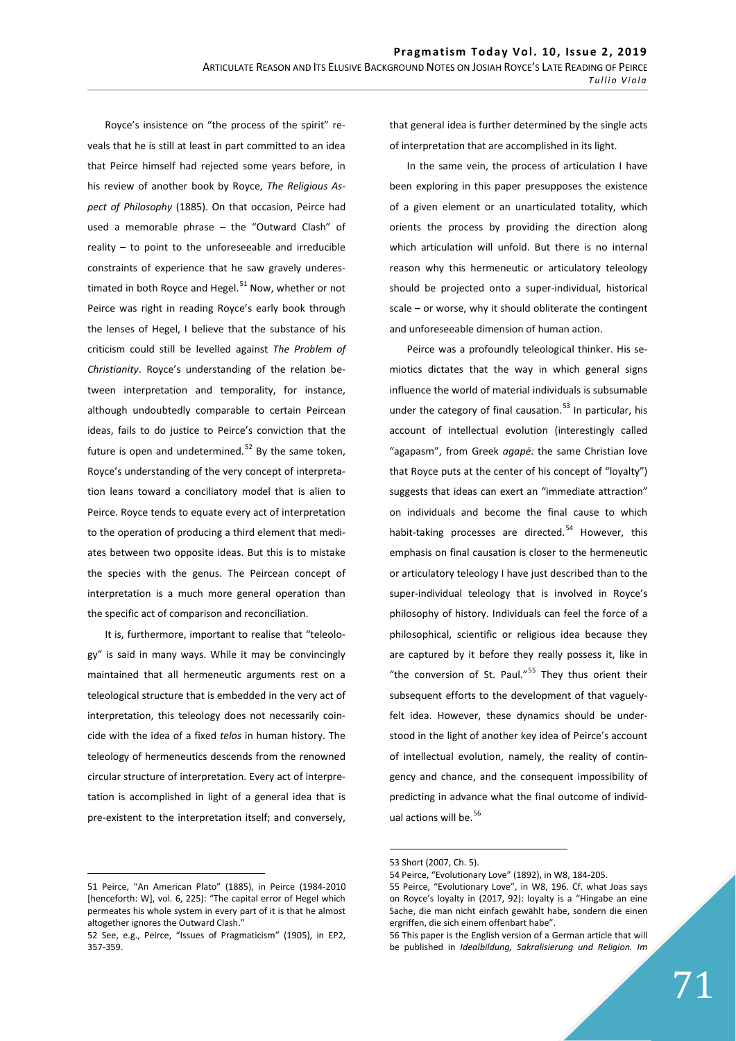Royce's insistence on "the process of the spirit" reveals that he is still at least in part committed to an idea that Peirce himself had rejected some years before, in his review of another book by Royce, *The Religious Aspect of Philosophy* (1885). On that occasion, Peirce had used a memorable phrase – the "Outward Clash" of reality – to point to the unforeseeable and irreducible constraints of experience that he saw gravely underestimated in both Royce and Hegel. $51$  Now, whether or not Peirce was right in reading Royce's early book through the lenses of Hegel, I believe that the substance of his criticism could still be levelled against *The Problem of Christianity*. Royce's understanding of the relation between interpretation and temporality, for instance, although undoubtedly comparable to certain Peircean ideas, fails to do justice to Peirce's conviction that the future is open and undetermined. $52$  By the same token, Royce's understanding of the very concept of interpretation leans toward a conciliatory model that is alien to Peirce. Royce tends to equate every act of interpretation to the operation of producing a third element that mediates between two opposite ideas. But this is to mistake the species with the genus. The Peircean concept of interpretation is a much more general operation than the specific act of comparison and reconciliation.

It is, furthermore, important to realise that "teleology" is said in many ways. While it may be convincingly maintained that all hermeneutic arguments rest on a teleological structure that is embedded in the very act of interpretation, this teleology does not necessarily coincide with the idea of a fixed *telos* in human history. The teleology of hermeneutics descends from the renowned circular structure of interpretation. Every act of interpretation is accomplished in light of a general idea that is pre-existent to the interpretation itself; and conversely,

that general idea is further determined by the single acts of interpretation that are accomplished in its light.

In the same vein, the process of articulation I have been exploring in this paper presupposes the existence of a given element or an unarticulated totality, which orients the process by providing the direction along which articulation will unfold. But there is no internal reason why this hermeneutic or articulatory teleology should be projected onto a super-individual, historical scale – or worse, why it should obliterate the contingent and unforeseeable dimension of human action.

Peirce was a profoundly teleological thinker. His semiotics dictates that the way in which general signs influence the world of material individuals is subsumable under the category of final causation.<sup>53</sup> In particular, his account of intellectual evolution (interestingly called "agapasm", from Greek *agapē:* the same Christian love that Royce puts at the center of his concept of "loyalty") suggests that ideas can exert an "immediate attraction" on individuals and become the final cause to which habit-taking processes are directed.<sup>54</sup> However, this emphasis on final causation is closer to the hermeneutic or articulatory teleology I have just described than to the super-individual teleology that is involved in Royce's philosophy of history. Individuals can feel the force of a philosophical, scientific or religious idea because they are captured by it before they really possess it, like in "the conversion of St. Paul."<sup>55</sup> They thus orient their subsequent efforts to the development of that vaguelyfelt idea. However, these dynamics should be understood in the light of another key idea of Peirce's account of intellectual evolution, namely, the reality of contingency and chance, and the consequent impossibility of predicting in advance what the final outcome of individual actions will be.<sup>56</sup>

<sup>51</sup> Peirce, "An American Plato" (1885), in Peirce (1984-2010 [henceforth: W], vol. 6, 225): "The capital error of Hegel which permeates his whole system in every part of it is that he almost altogether ignores the Outward Clash."

<sup>52</sup> See, e.g., Peirce, "Issues of Pragmaticism" (1905), in EP2, 357-359.

<sup>53</sup> Short (2007, Ch. 5).

<sup>54</sup> Peirce, "Evolutionary Love" (1892), in W8, 184-205.

<sup>55</sup> Peirce, "Evolutionary Love", in W8, 196. Cf. what Joas says on Royce's loyalty in (2017, 92): loyalty is a "Hingabe an eine Sache, die man nicht einfach gewählt habe, sondern die einen ergriffen, die sich einem offenbart habe".

<sup>56</sup> This paper is the English version of a German article that will be published in *Idealbildung, Sakralisierung und Religion. Im*